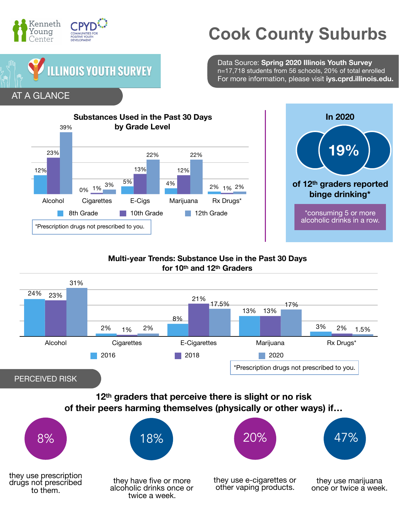

## **Cook County Suburbs**

Data Source: **Spring 2020 Illinois Youth Survey** n=17,718 students from 56 schools, 20% of total enrolled For more information, please visit **iys.cprd.illinois.edu.**





## **Multi-year Trends: Substance Use in the Past 30 Days for 10th and 12th Graders**